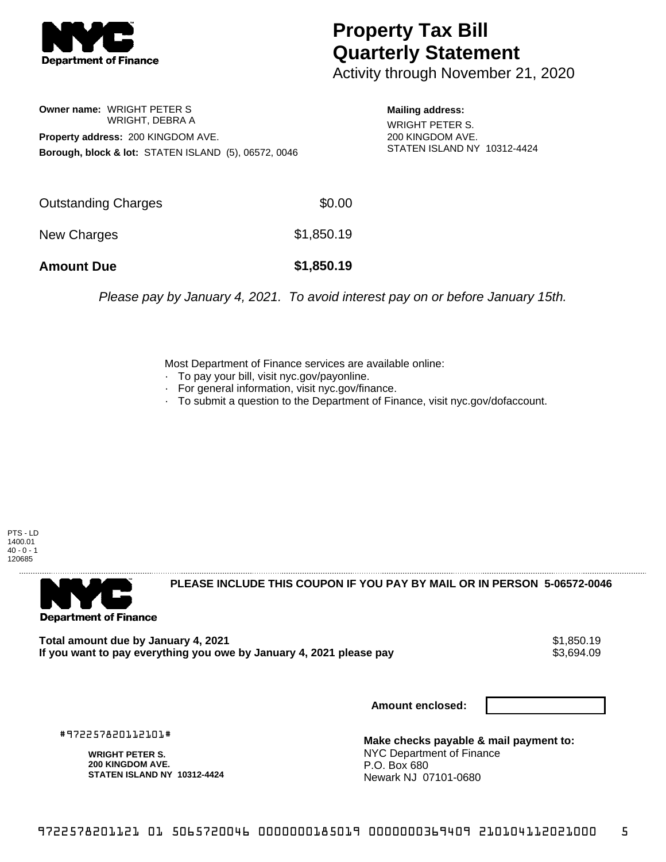

## **Property Tax Bill Quarterly Statement**

Activity through November 21, 2020

**Owner name:** WRIGHT PETER S WRIGHT, DEBRA A **Property address:** 200 KINGDOM AVE. **Borough, block & lot:** STATEN ISLAND (5), 06572, 0046

**Mailing address:** WRIGHT PETER S. 200 KINGDOM AVE. STATEN ISLAND NY 10312-4424

| <b>Amount Due</b>   | \$1,850.19 |
|---------------------|------------|
| New Charges         | \$1,850.19 |
| Outstanding Charges | \$0.00     |

Please pay by January 4, 2021. To avoid interest pay on or before January 15th.

Most Department of Finance services are available online:

- · To pay your bill, visit nyc.gov/payonline.
- For general information, visit nyc.gov/finance.
- · To submit a question to the Department of Finance, visit nyc.gov/dofaccount.

PTS - LD 1400.01  $40 - 0 - 1$ 120685



**PLEASE INCLUDE THIS COUPON IF YOU PAY BY MAIL OR IN PERSON 5-06572-0046** 

**Total amount due by January 4, 2021**<br>If you want to pay everything you owe by January 4, 2021 please pay **strategy of the Superior August** \$3,694.09 If you want to pay everything you owe by January 4, 2021 please pay

**Amount enclosed:**

#972257820112101#

**WRIGHT PETER S. 200 KINGDOM AVE. STATEN ISLAND NY 10312-4424**

**Make checks payable & mail payment to:** NYC Department of Finance P.O. Box 680 Newark NJ 07101-0680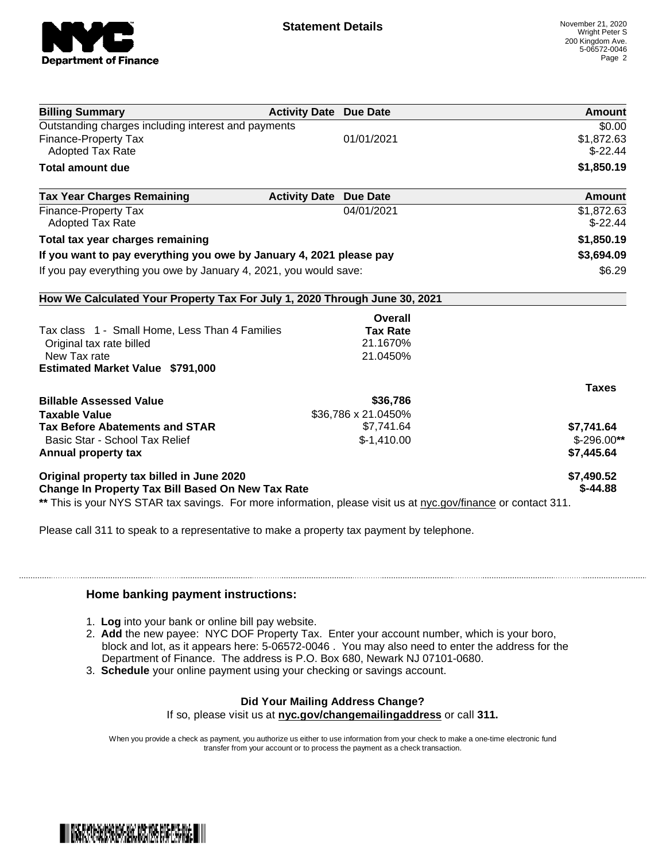

| <b>Billing Summary</b>                                                                                         | <b>Activity Date Due Date</b> |                     | Amount        |
|----------------------------------------------------------------------------------------------------------------|-------------------------------|---------------------|---------------|
| Outstanding charges including interest and payments                                                            |                               |                     | \$0.00        |
| Finance-Property Tax                                                                                           |                               | 01/01/2021          | \$1,872.63    |
| <b>Adopted Tax Rate</b>                                                                                        |                               |                     | $$-22.44$     |
| <b>Total amount due</b>                                                                                        |                               |                     | \$1,850.19    |
| <b>Tax Year Charges Remaining</b>                                                                              | <b>Activity Date Due Date</b> |                     | <b>Amount</b> |
| <b>Finance-Property Tax</b>                                                                                    |                               | 04/01/2021          | \$1,872.63    |
| <b>Adopted Tax Rate</b>                                                                                        |                               |                     | $$-22.44$     |
| Total tax year charges remaining                                                                               |                               |                     | \$1,850.19    |
| If you want to pay everything you owe by January 4, 2021 please pay                                            |                               |                     | \$3,694.09    |
| If you pay everything you owe by January 4, 2021, you would save:                                              |                               |                     | \$6.29        |
| How We Calculated Your Property Tax For July 1, 2020 Through June 30, 2021                                     |                               |                     |               |
|                                                                                                                |                               | Overall             |               |
| Tax class 1 - Small Home, Less Than 4 Families                                                                 |                               | <b>Tax Rate</b>     |               |
| Original tax rate billed                                                                                       |                               | 21.1670%            |               |
| New Tax rate                                                                                                   |                               | 21.0450%            |               |
| <b>Estimated Market Value \$791,000</b>                                                                        |                               |                     |               |
|                                                                                                                |                               |                     | <b>Taxes</b>  |
| <b>Billable Assessed Value</b>                                                                                 |                               | \$36,786            |               |
| <b>Taxable Value</b>                                                                                           |                               | \$36,786 x 21.0450% |               |
| <b>Tax Before Abatements and STAR</b>                                                                          |                               | \$7,741.64          | \$7,741.64    |
| Basic Star - School Tax Relief                                                                                 |                               | $$-1,410.00$        | $$-296.00**$  |
| Annual property tax                                                                                            |                               |                     | \$7,445.64    |
| Original property tax billed in June 2020                                                                      |                               |                     | \$7,490.52    |
| Change In Property Tax Bill Based On New Tax Rate                                                              |                               |                     | $$-44.88$     |
| ** This is your NYS STAR tax savings. For more information, please visit us at nyc.gov/finance or contact 311. |                               |                     |               |

Please call 311 to speak to a representative to make a property tax payment by telephone.

## **Home banking payment instructions:**

- 1. **Log** into your bank or online bill pay website.
- 2. **Add** the new payee: NYC DOF Property Tax. Enter your account number, which is your boro, block and lot, as it appears here: 5-06572-0046 . You may also need to enter the address for the Department of Finance. The address is P.O. Box 680, Newark NJ 07101-0680.
- 3. **Schedule** your online payment using your checking or savings account.

## **Did Your Mailing Address Change?**

If so, please visit us at **nyc.gov/changemailingaddress** or call **311.**

When you provide a check as payment, you authorize us either to use information from your check to make a one-time electronic fund transfer from your account or to process the payment as a check transaction.